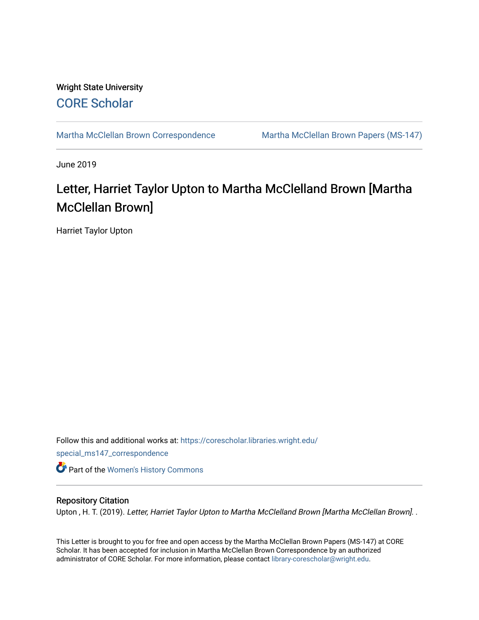# Wright State University [CORE Scholar](https://corescholar.libraries.wright.edu/)

[Martha McClellan Brown Correspondence](https://corescholar.libraries.wright.edu/special_ms147_correspondence) Martha McClellan Brown Papers (MS-147)

June 2019

# Letter, Harriet Taylor Upton to Martha McClelland Brown [Martha McClellan Brown]

Harriet Taylor Upton

Follow this and additional works at: [https://corescholar.libraries.wright.edu/](https://corescholar.libraries.wright.edu/special_ms147_correspondence?utm_source=corescholar.libraries.wright.edu%2Fspecial_ms147_correspondence%2F3&utm_medium=PDF&utm_campaign=PDFCoverPages) [special\\_ms147\\_correspondence](https://corescholar.libraries.wright.edu/special_ms147_correspondence?utm_source=corescholar.libraries.wright.edu%2Fspecial_ms147_correspondence%2F3&utm_medium=PDF&utm_campaign=PDFCoverPages) **Part of the [Women's History Commons](http://network.bepress.com/hgg/discipline/507?utm_source=corescholar.libraries.wright.edu%2Fspecial_ms147_correspondence%2F3&utm_medium=PDF&utm_campaign=PDFCoverPages)** 

### Repository Citation

Upton, H. T. (2019). Letter, Harriet Taylor Upton to Martha McClelland Brown [Martha McClellan Brown]. .

This Letter is brought to you for free and open access by the Martha McClellan Brown Papers (MS-147) at CORE Scholar. It has been accepted for inclusion in Martha McClellan Brown Correspondence by an authorized administrator of CORE Scholar. For more information, please contact [library-corescholar@wright.edu.](mailto:library-corescholar@wright.edu)